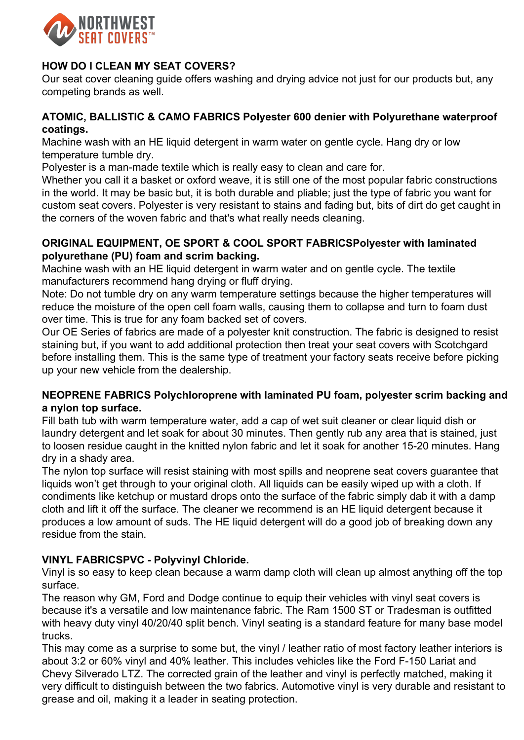

## **HOW DO I CLEAN MY SEAT COVERS?**

Our seat cover cleaning guide offers washing and drying advice not just for our products but, any competing brands as well.

#### **ATOMIC, BALLISTIC & CAMO FABRICS Polyester 600 denier with Polyurethane waterproof coatings.**

Machine wash with an HE liquid detergent in warm water on gentle cycle. Hang dry or low temperature tumble dry.

Polyester is a man-made textile which is really easy to clean and care for.

Whether you call it a basket or oxford weave, it is still one of the most popular fabric constructions in the world. It may be basic but, it is both durable and pliable; just the type of fabric you want for custom seat covers. Polyester is very resistant to stains and fading but, bits of dirt do get caught in the corners of the woven fabric and that's what really needs cleaning.

#### **ORIGINAL EQUIPMENT, OE SPORT & COOL SPORT FABRICSPolyester with laminated polyurethane (PU) foam and scrim backing.**

Machine wash with an HE liquid detergent in warm water and on gentle cycle. The textile manufacturers recommend hang drying or fluff drying.

Note: Do not tumble dry on any warm temperature settings because the higher temperatures will reduce the moisture of the open cell foam walls, causing them to collapse and turn to foam dust over time. This is true for any foam backed set of covers.

Our OE Series of fabrics are made of a polyester knit construction. The fabric is designed to resist staining but, if you want to add additional protection then treat your seat covers with Scotchgard before installing them. This is the same type of treatment your factory seats receive before picking up your new vehicle from the dealership.

## **NEOPRENE FABRICS Polychloroprene with laminated PU foam, polyester scrim backing and a nylon top surface.**

Fill bath tub with warm temperature water, add a cap of wet suit cleaner or clear liquid dish or laundry detergent and let soak for about 30 minutes. Then gently rub any area that is stained, just to loosen residue caught in the knitted nylon fabric and let it soak for another 15-20 minutes. Hang dry in a shady area.

The nylon top surface will resist staining with most spills and neoprene seat covers guarantee that liquids won't get through to your original cloth. All liquids can be easily wiped up with a cloth. If condiments like ketchup or mustard drops onto the surface of the fabric simply dab it with a damp cloth and lift it off the surface. The cleaner we recommend is an HE liquid detergent because it produces a low amount of suds. The HE liquid detergent will do a good job of breaking down any residue from the stain.

# **VINYL FABRICSPVC - Polyvinyl Chloride.**

Vinyl is so easy to keep clean because a warm damp cloth will clean up almost anything off the top surface.

The reason why GM, Ford and Dodge continue to equip their vehicles with vinyl seat covers is because it's a versatile and low maintenance fabric. The Ram 1500 ST or Tradesman is outfitted with heavy duty vinyl 40/20/40 split bench. Vinyl seating is a standard feature for many base model trucks.

This may come as a surprise to some but, the vinyl / leather ratio of most factory leather interiors is about 3:2 or 60% vinyl and 40% leather. This includes vehicles like the Ford F-150 Lariat and Chevy Silverado LTZ. The corrected grain of the leather and vinyl is perfectly matched, making it very difficult to distinguish between the two fabrics. Automotive vinyl is very durable and resistant to grease and oil, making it a leader in seating protection.